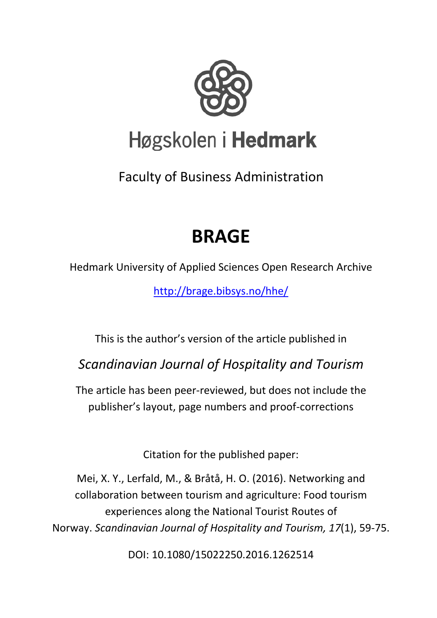

# Høgskolen i Hedmark

Faculty of Business Administration

## **BRAGE**

Hedmark University of Applied Sciences Open Research Archive

<http://brage.bibsys.no/hhe/>

This is the author's version of the article published in

*Scandinavian Journal of Hospitality and Tourism*

The article has been peer-reviewed, but does not include the publisher's layout, page numbers and proof-corrections

Citation for the published paper:

Mei, X. Y., Lerfald, M., & Bråtå, H. O. (2016). Networking and collaboration between tourism and agriculture: Food tourism experiences along the National Tourist Routes of Norway. *Scandinavian Journal of Hospitality and Tourism, 17*(1), 59-75.

DOI: [10.1080/15022250.2016.1262514](http://dx.doi.org/10.1080/15022250.2016.1262514)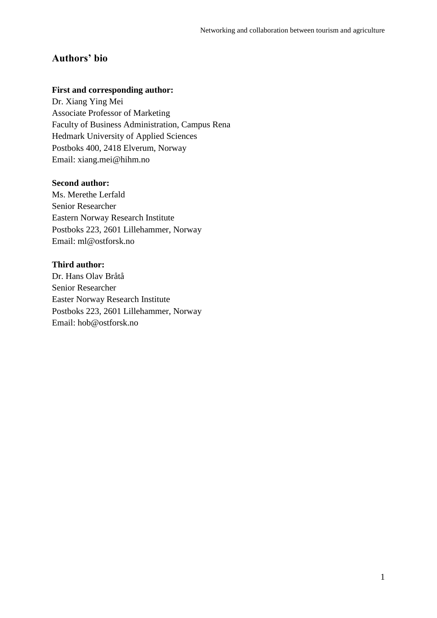## **Authors' bio**

## **First and corresponding author:**

Dr. Xiang Ying Mei Associate Professor of Marketing Faculty of Business Administration, Campus Rena Hedmark University of Applied Sciences Postboks 400, 2418 Elverum, Norway Email: xiang.mei@hihm.no

## **Second author:**

Ms. Merethe Lerfald Senior Researcher Eastern Norway Research Institute Postboks 223, 2601 Lillehammer, Norway Email: ml@ostforsk.no

## **Third author:**

Dr. Hans Olav Bråtå Senior Researcher Easter Norway Research Institute Postboks 223, 2601 Lillehammer, Norway Email: hob@ostforsk.no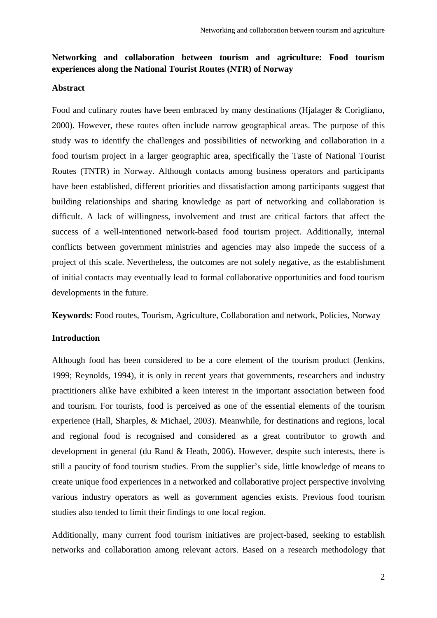## **Networking and collaboration between tourism and agriculture: Food tourism experiences along the National Tourist Routes (NTR) of Norway**

## **Abstract**

Food and culinary routes have been embraced by many destinations (Hjalager & Corigliano, 2000). However, these routes often include narrow geographical areas. The purpose of this study was to identify the challenges and possibilities of networking and collaboration in a food tourism project in a larger geographic area, specifically the Taste of National Tourist Routes (TNTR) in Norway. Although contacts among business operators and participants have been established, different priorities and dissatisfaction among participants suggest that building relationships and sharing knowledge as part of networking and collaboration is difficult. A lack of willingness, involvement and trust are critical factors that affect the success of a well-intentioned network-based food tourism project. Additionally, internal conflicts between government ministries and agencies may also impede the success of a project of this scale. Nevertheless, the outcomes are not solely negative, as the establishment of initial contacts may eventually lead to formal collaborative opportunities and food tourism developments in the future.

**Keywords:** Food routes, Tourism, Agriculture, Collaboration and network, Policies, Norway

## **Introduction**

Although food has been considered to be a core element of the tourism product (Jenkins, 1999; Reynolds, 1994), it is only in recent years that governments, researchers and industry practitioners alike have exhibited a keen interest in the important association between food and tourism. For tourists, food is perceived as one of the essential elements of the tourism experience (Hall, Sharples, & Michael, 2003). Meanwhile, for destinations and regions, local and regional food is recognised and considered as a great contributor to growth and development in general (du Rand & Heath, 2006). However, despite such interests, there is still a paucity of food tourism studies. From the supplier's side, little knowledge of means to create unique food experiences in a networked and collaborative project perspective involving various industry operators as well as government agencies exists. Previous food tourism studies also tended to limit their findings to one local region.

Additionally, many current food tourism initiatives are project-based, seeking to establish networks and collaboration among relevant actors. Based on a research methodology that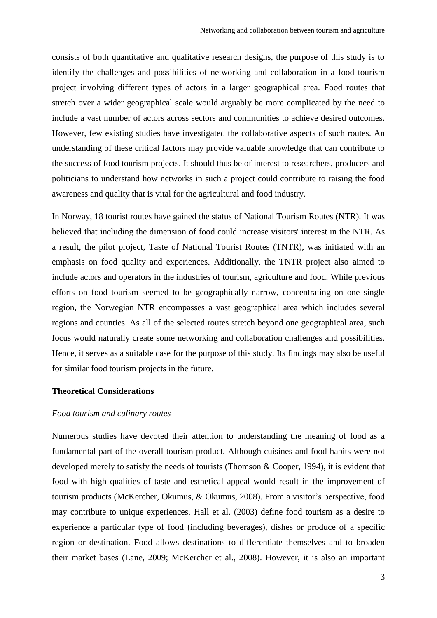consists of both quantitative and qualitative research designs, the purpose of this study is to identify the challenges and possibilities of networking and collaboration in a food tourism project involving different types of actors in a larger geographical area. Food routes that stretch over a wider geographical scale would arguably be more complicated by the need to include a vast number of actors across sectors and communities to achieve desired outcomes. However, few existing studies have investigated the collaborative aspects of such routes. An understanding of these critical factors may provide valuable knowledge that can contribute to the success of food tourism projects. It should thus be of interest to researchers, producers and politicians to understand how networks in such a project could contribute to raising the food awareness and quality that is vital for the agricultural and food industry.

In Norway, 18 tourist routes have gained the status of National Tourism Routes (NTR). It was believed that including the dimension of food could increase visitors' interest in the NTR. As a result, the pilot project, Taste of National Tourist Routes (TNTR), was initiated with an emphasis on food quality and experiences. Additionally, the TNTR project also aimed to include actors and operators in the industries of tourism, agriculture and food. While previous efforts on food tourism seemed to be geographically narrow, concentrating on one single region, the Norwegian NTR encompasses a vast geographical area which includes several regions and counties. As all of the selected routes stretch beyond one geographical area, such focus would naturally create some networking and collaboration challenges and possibilities. Hence, it serves as a suitable case for the purpose of this study. Its findings may also be useful for similar food tourism projects in the future.

## **Theoretical Considerations**

## *Food tourism and culinary routes*

Numerous studies have devoted their attention to understanding the meaning of food as a fundamental part of the overall tourism product. Although cuisines and food habits were not developed merely to satisfy the needs of tourists (Thomson & Cooper, 1994), it is evident that food with high qualities of taste and esthetical appeal would result in the improvement of tourism products (McKercher, Okumus, & Okumus, 2008). From a visitor's perspective, food may contribute to unique experiences. Hall et al. (2003) define food tourism as a desire to experience a particular type of food (including beverages), dishes or produce of a specific region or destination. Food allows destinations to differentiate themselves and to broaden their market bases (Lane, 2009; McKercher et al., 2008). However, it is also an important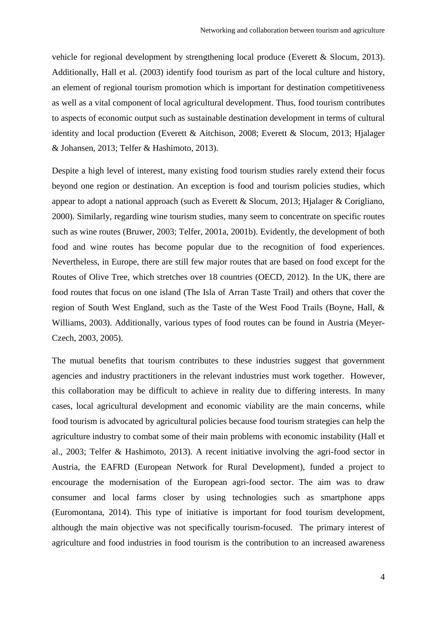vehicle for regional development by strengthening local produce (Everett & Slocum, 2013). Additionally, Hall et al. (2003) identify food tourism as part of the local culture and history, an element of regional tourism promotion which is important for destination competitiveness as well as a vital component of local agricultural development. Thus, food tourism contributes to aspects of economic output such as sustainable destination development in terms of cultural identity and local production (Everett & Aitchison, 2008; Everett & Slocum, 2013; Hjalager & Johansen, 2013; Telfer & Hashimoto, 2013).

Despite a high level of interest, many existing food tourism studies rarely extend their focus beyond one region or destination. An exception is food and tourism policies studies, which appear to adopt a national approach (such as Everett & Slocum, 2013; Hjalager & Corigliano, 2000). Similarly, regarding wine tourism studies, many seem to concentrate on specific routes such as wine routes (Bruwer, 2003; Telfer, 2001a, 2001b). Evidently, the development of both food and wine routes has become popular due to the recognition of food experiences. Nevertheless, in Europe, there are still few major routes that are based on food except for the Routes of Olive Tree, which stretches over 18 countries (OECD, 2012). In the UK, there are food routes that focus on one island (The Isla of Arran Taste Trail) and others that cover the region of South West England, such as the Taste of the West Food Trails (Boyne, Hall, & Williams, 2003). Additionally, various types of food routes can be found in Austria (Meyer-Czech, 2003, 2005).

The mutual benefits that tourism contributes to these industries suggest that government agencies and industry practitioners in the relevant industries must work together. However, this collaboration may be difficult to achieve in reality due to differing interests. In many cases, local agricultural development and economic viability are the main concerns, while food tourism is advocated by agricultural policies because food tourism strategies can help the agriculture industry to combat some of their main problems with economic instability (Hall et al., 2003; Telfer & Hashimoto, 2013). A recent initiative involving the agri-food sector in Austria, the EAFRD (European Network for Rural Development), funded a project to encourage the modernisation of the European agri-food sector. The aim was to draw consumer and local farms closer by using technologies such as smartphone apps (Euromontana, 2014). This type of initiative is important for food tourism development, although the main objective was not specifically tourism-focused. The primary interest of agriculture and food industries in food tourism is the contribution to an increased awareness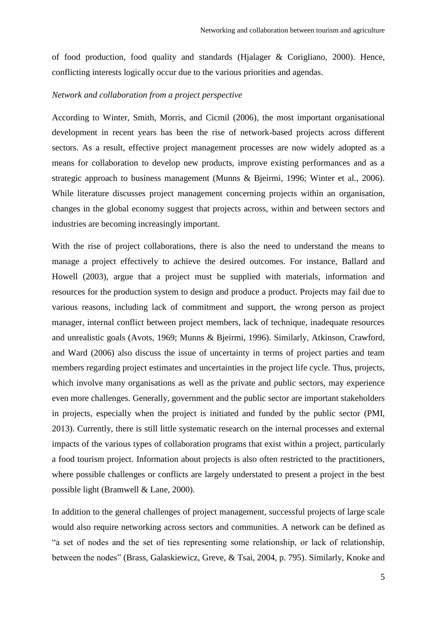of food production, food quality and standards (Hjalager & Corigliano, 2000). Hence, conflicting interests logically occur due to the various priorities and agendas.

## *Network and collaboration from a project perspective*

According to Winter, Smith, Morris, and Cicmil (2006), the most important organisational development in recent years has been the rise of network-based projects across different sectors. As a result, effective project management processes are now widely adopted as a means for collaboration to develop new products, improve existing performances and as a strategic approach to business management (Munns & Bjeirmi, 1996; Winter et al., 2006). While literature discusses project management concerning projects within an organisation, changes in the global economy suggest that projects across, within and between sectors and industries are becoming increasingly important.

With the rise of project collaborations, there is also the need to understand the means to manage a project effectively to achieve the desired outcomes. For instance, Ballard and Howell (2003), argue that a project must be supplied with materials, information and resources for the production system to design and produce a product. Projects may fail due to various reasons, including lack of commitment and support, the wrong person as project manager, internal conflict between project members, lack of technique, inadequate resources and unrealistic goals (Avots, 1969; Munns & Bjeirmi, 1996). Similarly, Atkinson, Crawford, and Ward (2006) also discuss the issue of uncertainty in terms of project parties and team members regarding project estimates and uncertainties in the project life cycle. Thus, projects, which involve many organisations as well as the private and public sectors, may experience even more challenges. Generally, government and the public sector are important stakeholders in projects, especially when the project is initiated and funded by the public sector (PMI, 2013). Currently, there is still little systematic research on the internal processes and external impacts of the various types of collaboration programs that exist within a project, particularly a food tourism project. Information about projects is also often restricted to the practitioners, where possible challenges or conflicts are largely understated to present a project in the best possible light (Bramwell & Lane, 2000).

In addition to the general challenges of project management, successful projects of large scale would also require networking across sectors and communities. A network can be defined as "a set of nodes and the set of ties representing some relationship, or lack of relationship, between the nodes" (Brass, Galaskiewicz, Greve, & Tsai, 2004, p. 795). Similarly, Knoke and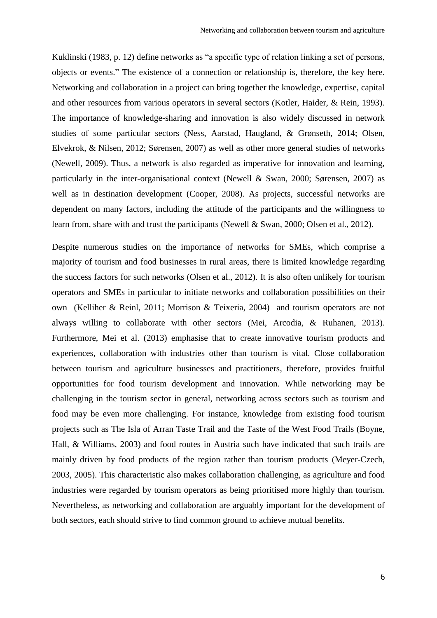Kuklinski (1983, p. 12) define networks as "a specific type of relation linking a set of persons, objects or events." The existence of a connection or relationship is, therefore, the key here. Networking and collaboration in a project can bring together the knowledge, expertise, capital and other resources from various operators in several sectors (Kotler, Haider, & Rein, 1993). The importance of knowledge-sharing and innovation is also widely discussed in network studies of some particular sectors (Ness, Aarstad, Haugland, & Grønseth, 2014; Olsen, Elvekrok, & Nilsen, 2012; Sørensen, 2007) as well as other more general studies of networks (Newell, 2009). Thus, a network is also regarded as imperative for innovation and learning, particularly in the inter-organisational context (Newell & Swan, 2000; Sørensen, 2007) as well as in destination development (Cooper, 2008). As projects, successful networks are dependent on many factors, including the attitude of the participants and the willingness to learn from, share with and trust the participants (Newell & Swan, 2000; Olsen et al., 2012).

Despite numerous studies on the importance of networks for SMEs, which comprise a majority of tourism and food businesses in rural areas, there is limited knowledge regarding the success factors for such networks (Olsen et al., 2012). It is also often unlikely for tourism operators and SMEs in particular to initiate networks and collaboration possibilities on their own (Kelliher & Reinl, 2011; Morrison & Teixeria, 2004) and tourism operators are not always willing to collaborate with other sectors (Mei, Arcodia, & Ruhanen, 2013). Furthermore, Mei et al. (2013) emphasise that to create innovative tourism products and experiences, collaboration with industries other than tourism is vital. Close collaboration between tourism and agriculture businesses and practitioners, therefore, provides fruitful opportunities for food tourism development and innovation. While networking may be challenging in the tourism sector in general, networking across sectors such as tourism and food may be even more challenging. For instance, knowledge from existing food tourism projects such as The Isla of Arran Taste Trail and the Taste of the West Food Trails (Boyne, Hall, & Williams, 2003) and food routes in Austria such have indicated that such trails are mainly driven by food products of the region rather than tourism products (Meyer-Czech, 2003, 2005). This characteristic also makes collaboration challenging, as agriculture and food industries were regarded by tourism operators as being prioritised more highly than tourism. Nevertheless, as networking and collaboration are arguably important for the development of both sectors, each should strive to find common ground to achieve mutual benefits.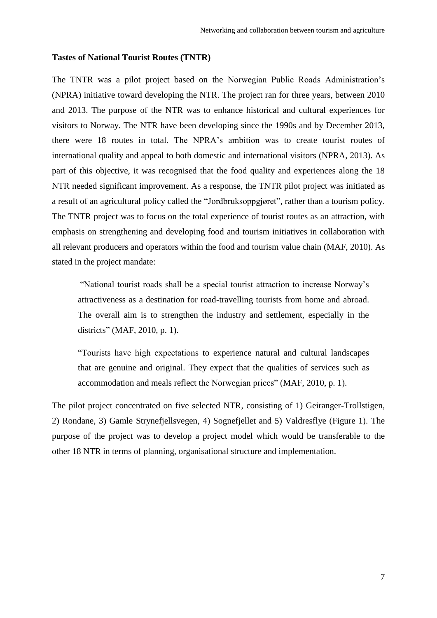## **Tastes of National Tourist Routes (TNTR)**

The TNTR was a pilot project based on the Norwegian Public Roads Administration's (NPRA) initiative toward developing the NTR. The project ran for three years, between 2010 and 2013. The purpose of the NTR was to enhance historical and cultural experiences for visitors to Norway. The NTR have been developing since the 1990s and by December 2013, there were 18 routes in total. The NPRA's ambition was to create tourist routes of international quality and appeal to both domestic and international visitors (NPRA, 2013). As part of this objective, it was recognised that the food quality and experiences along the 18 NTR needed significant improvement. As a response, the TNTR pilot project was initiated as a result of an agricultural policy called the "Jordbruksoppgjøret", rather than a tourism policy. The TNTR project was to focus on the total experience of tourist routes as an attraction, with emphasis on strengthening and developing food and tourism initiatives in collaboration with all relevant producers and operators within the food and tourism value chain (MAF, 2010). As stated in the project mandate:

"National tourist roads shall be a special tourist attraction to increase Norway's attractiveness as a destination for road-travelling tourists from home and abroad. The overall aim is to strengthen the industry and settlement, especially in the districts" (MAF, 2010, p. 1).

"Tourists have high expectations to experience natural and cultural landscapes that are genuine and original. They expect that the qualities of services such as accommodation and meals reflect the Norwegian prices" (MAF, 2010, p. 1).

The pilot project concentrated on five selected NTR, consisting of 1) Geiranger-Trollstigen, 2) Rondane, 3) Gamle Strynefjellsvegen, 4) Sognefjellet and 5) Valdresflye (Figure 1). The purpose of the project was to develop a project model which would be transferable to the other 18 NTR in terms of planning, organisational structure and implementation.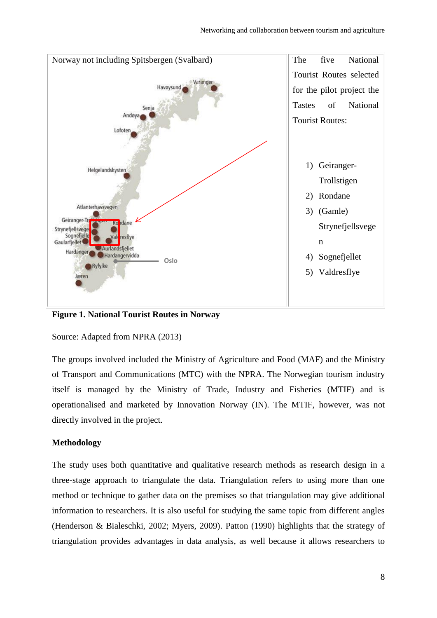

**Figure 1. National Tourist Routes in Norway**

Source: Adapted from NPRA (2013)

The groups involved included the Ministry of Agriculture and Food (MAF) and the Ministry of Transport and Communications (MTC) with the NPRA. The Norwegian tourism industry itself is managed by the Ministry of Trade, Industry and Fisheries (MTIF) and is operationalised and marketed by Innovation Norway (IN). The MTIF, however, was not directly involved in the project.

## **Methodology**

The study uses both quantitative and qualitative research methods as research design in a three-stage approach to triangulate the data. Triangulation refers to using more than one method or technique to gather data on the premises so that triangulation may give additional information to researchers. It is also useful for studying the same topic from different angles (Henderson & Bialeschki, 2002; Myers, 2009). Patton (1990) highlights that the strategy of triangulation provides advantages in data analysis, as well because it allows researchers to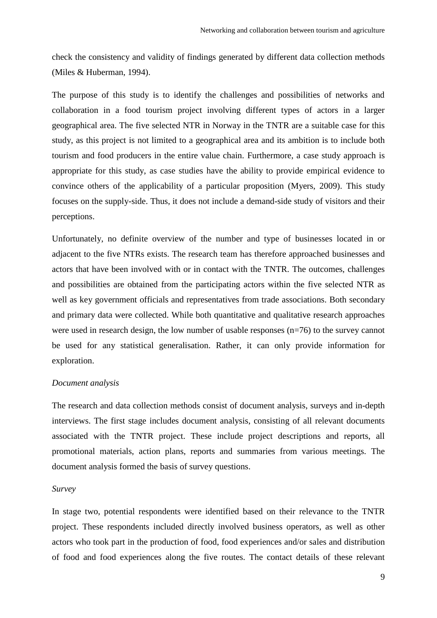check the consistency and validity of findings generated by different data collection methods (Miles & Huberman, 1994).

The purpose of this study is to identify the challenges and possibilities of networks and collaboration in a food tourism project involving different types of actors in a larger geographical area. The five selected NTR in Norway in the TNTR are a suitable case for this study, as this project is not limited to a geographical area and its ambition is to include both tourism and food producers in the entire value chain. Furthermore, a case study approach is appropriate for this study, as case studies have the ability to provide empirical evidence to convince others of the applicability of a particular proposition (Myers, 2009). This study focuses on the supply-side. Thus, it does not include a demand-side study of visitors and their perceptions.

Unfortunately, no definite overview of the number and type of businesses located in or adjacent to the five NTRs exists. The research team has therefore approached businesses and actors that have been involved with or in contact with the TNTR. The outcomes, challenges and possibilities are obtained from the participating actors within the five selected NTR as well as key government officials and representatives from trade associations. Both secondary and primary data were collected. While both quantitative and qualitative research approaches were used in research design, the low number of usable responses (n=76) to the survey cannot be used for any statistical generalisation. Rather, it can only provide information for exploration.

#### *Document analysis*

The research and data collection methods consist of document analysis, surveys and in-depth interviews. The first stage includes document analysis, consisting of all relevant documents associated with the TNTR project. These include project descriptions and reports, all promotional materials, action plans, reports and summaries from various meetings. The document analysis formed the basis of survey questions.

## *Survey*

In stage two, potential respondents were identified based on their relevance to the TNTR project. These respondents included directly involved business operators, as well as other actors who took part in the production of food, food experiences and/or sales and distribution of food and food experiences along the five routes. The contact details of these relevant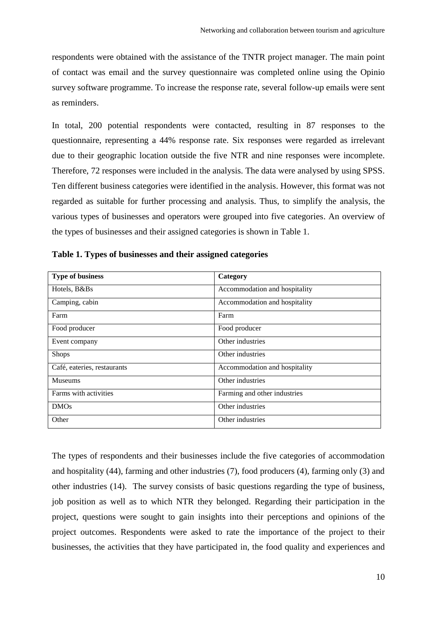respondents were obtained with the assistance of the TNTR project manager. The main point of contact was email and the survey questionnaire was completed online using the Opinio survey software programme. To increase the response rate, several follow-up emails were sent as reminders.

In total, 200 potential respondents were contacted, resulting in 87 responses to the questionnaire, representing a 44% response rate. Six responses were regarded as irrelevant due to their geographic location outside the five NTR and nine responses were incomplete. Therefore, 72 responses were included in the analysis. The data were analysed by using SPSS. Ten different business categories were identified in the analysis. However, this format was not regarded as suitable for further processing and analysis. Thus, to simplify the analysis, the various types of businesses and operators were grouped into five categories. An overview of the types of businesses and their assigned categories is shown in Table 1.

| <b>Type of business</b>     | Category                      |
|-----------------------------|-------------------------------|
| Hotels, B&Bs                | Accommodation and hospitality |
| Camping, cabin              | Accommodation and hospitality |
| Farm                        | Farm                          |
| Food producer               | Food producer                 |
| Event company               | Other industries              |
| <b>Shops</b>                | Other industries              |
| Café, eateries, restaurants | Accommodation and hospitality |
| <b>Museums</b>              | Other industries              |
| Farms with activities       | Farming and other industries  |
| <b>DMOs</b>                 | Other industries              |
| Other                       | Other industries              |

**Table 1. Types of businesses and their assigned categories**

The types of respondents and their businesses include the five categories of accommodation and hospitality (44), farming and other industries (7), food producers (4), farming only (3) and other industries (14). The survey consists of basic questions regarding the type of business, job position as well as to which NTR they belonged. Regarding their participation in the project, questions were sought to gain insights into their perceptions and opinions of the project outcomes. Respondents were asked to rate the importance of the project to their businesses, the activities that they have participated in, the food quality and experiences and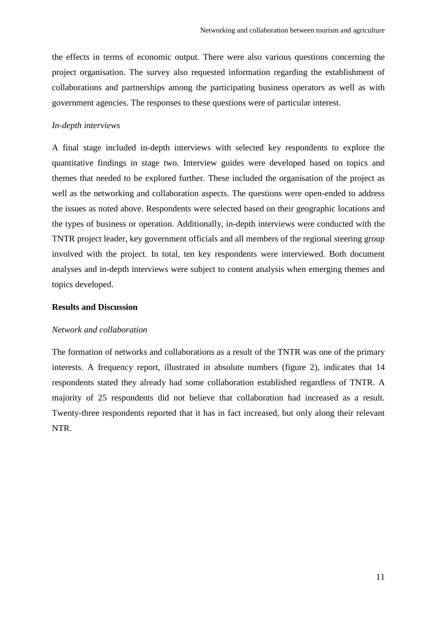the effects in terms of economic output. There were also various questions concerning the project organisation. The survey also requested information regarding the establishment of collaborations and partnerships among the participating business operators as well as with government agencies. The responses to these questions were of particular interest.

## *In-depth interviews*

A final stage included in-depth interviews with selected key respondents to explore the quantitative findings in stage two. Interview guides were developed based on topics and themes that needed to be explored further. These included the organisation of the project as well as the networking and collaboration aspects. The questions were open-ended to address the issues as noted above. Respondents were selected based on their geographic locations and the types of business or operation. Additionally, in-depth interviews were conducted with the TNTR project leader, key government officials and all members of the regional steering group involved with the project. In total, ten key respondents were interviewed. Both document analyses and in-depth interviews were subject to content analysis when emerging themes and topics developed.

## **Results and Discussion**

#### *Network and collaboration*

The formation of networks and collaborations as a result of the TNTR was one of the primary interests. A frequency report, illustrated in absolute numbers (figure 2), indicates that 14 respondents stated they already had some collaboration established regardless of TNTR. A majority of 25 respondents did not believe that collaboration had increased as a result. Twenty-three respondents reported that it has in fact increased, but only along their relevant NTR.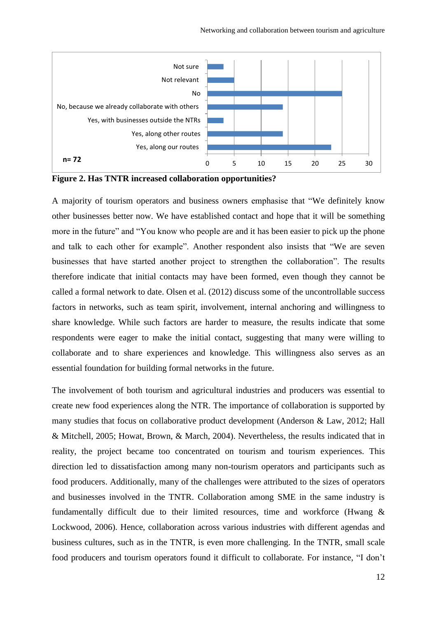

**Figure 2. Has TNTR increased collaboration opportunities?**

A majority of tourism operators and business owners emphasise that "We definitely know other businesses better now. We have established contact and hope that it will be something more in the future" and "You know who people are and it has been easier to pick up the phone and talk to each other for example". Another respondent also insists that "We are seven businesses that have started another project to strengthen the collaboration". The results therefore indicate that initial contacts may have been formed, even though they cannot be called a formal network to date. Olsen et al. (2012) discuss some of the uncontrollable success factors in networks, such as team spirit, involvement, internal anchoring and willingness to share knowledge. While such factors are harder to measure, the results indicate that some respondents were eager to make the initial contact, suggesting that many were willing to collaborate and to share experiences and knowledge. This willingness also serves as an essential foundation for building formal networks in the future.

The involvement of both tourism and agricultural industries and producers was essential to create new food experiences along the NTR. The importance of collaboration is supported by many studies that focus on collaborative product development (Anderson & Law, 2012; Hall & Mitchell, 2005; Howat, Brown, & March, 2004). Nevertheless, the results indicated that in reality, the project became too concentrated on tourism and tourism experiences. This direction led to dissatisfaction among many non-tourism operators and participants such as food producers. Additionally, many of the challenges were attributed to the sizes of operators and businesses involved in the TNTR. Collaboration among SME in the same industry is fundamentally difficult due to their limited resources, time and workforce (Hwang & Lockwood, 2006). Hence, collaboration across various industries with different agendas and business cultures, such as in the TNTR, is even more challenging. In the TNTR, small scale food producers and tourism operators found it difficult to collaborate. For instance, "I don't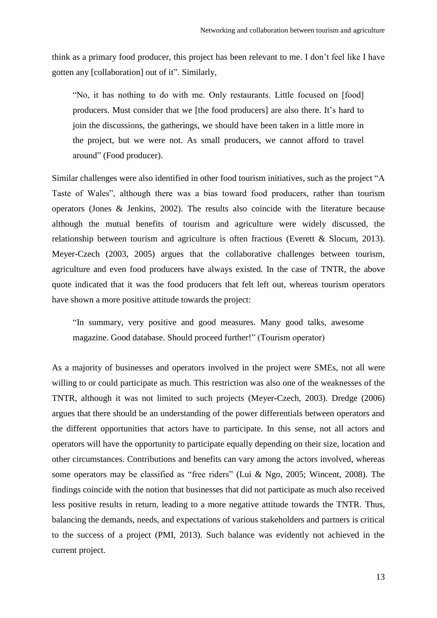think as a primary food producer, this project has been relevant to me. I don't feel like I have gotten any [collaboration] out of it". Similarly,

"No, it has nothing to do with me. Only restaurants. Little focused on [food] producers. Must consider that we [the food producers] are also there. It's hard to join the discussions, the gatherings, we should have been taken in a little more in the project, but we were not. As small producers, we cannot afford to travel around" (Food producer).

Similar challenges were also identified in other food tourism initiatives, such as the project "A Taste of Wales", although there was a bias toward food producers, rather than tourism operators (Jones & Jenkins, 2002). The results also coincide with the literature because although the mutual benefits of tourism and agriculture were widely discussed, the relationship between tourism and agriculture is often fractious (Everett & Slocum, 2013). Meyer-Czech (2003, 2005) argues that the collaborative challenges between tourism, agriculture and even food producers have always existed. In the case of TNTR, the above quote indicated that it was the food producers that felt left out, whereas tourism operators have shown a more positive attitude towards the project:

"In summary, very positive and good measures. Many good talks, awesome magazine. Good database. Should proceed further!" (Tourism operator)

As a majority of businesses and operators involved in the project were SMEs, not all were willing to or could participate as much. This restriction was also one of the weaknesses of the TNTR, although it was not limited to such projects (Meyer-Czech, 2003). Dredge (2006) argues that there should be an understanding of the power differentials between operators and the different opportunities that actors have to participate. In this sense, not all actors and operators will have the opportunity to participate equally depending on their size, location and other circumstances. Contributions and benefits can vary among the actors involved, whereas some operators may be classified as "free riders" (Lui & Ngo, 2005; Wincent, 2008). The findings coincide with the notion that businesses that did not participate as much also received less positive results in return, leading to a more negative attitude towards the TNTR. Thus, balancing the demands, needs, and expectations of various stakeholders and partners is critical to the success of a project (PMI, 2013). Such balance was evidently not achieved in the current project.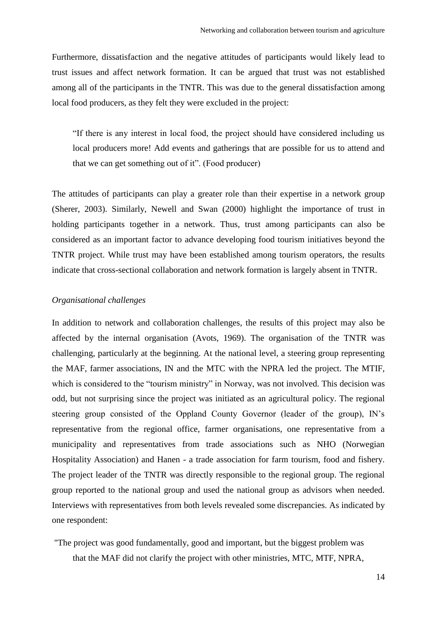Furthermore, dissatisfaction and the negative attitudes of participants would likely lead to trust issues and affect network formation. It can be argued that trust was not established among all of the participants in the TNTR. This was due to the general dissatisfaction among local food producers, as they felt they were excluded in the project:

"If there is any interest in local food, the project should have considered including us local producers more! Add events and gatherings that are possible for us to attend and that we can get something out of it". (Food producer)

The attitudes of participants can play a greater role than their expertise in a network group (Sherer, 2003). Similarly, Newell and Swan (2000) highlight the importance of trust in holding participants together in a network. Thus, trust among participants can also be considered as an important factor to advance developing food tourism initiatives beyond the TNTR project. While trust may have been established among tourism operators, the results indicate that cross-sectional collaboration and network formation is largely absent in TNTR.

## *Organisational challenges*

In addition to network and collaboration challenges, the results of this project may also be affected by the internal organisation (Avots, 1969). The organisation of the TNTR was challenging, particularly at the beginning. At the national level, a steering group representing the MAF, farmer associations, IN and the MTC with the NPRA led the project. The MTIF, which is considered to the "tourism ministry" in Norway, was not involved. This decision was odd, but not surprising since the project was initiated as an agricultural policy. The regional steering group consisted of the Oppland County Governor (leader of the group), IN's representative from the regional office, farmer organisations, one representative from a municipality and representatives from trade associations such as NHO (Norwegian Hospitality Association) and Hanen - a trade association for farm tourism, food and fishery. The project leader of the TNTR was directly responsible to the regional group. The regional group reported to the national group and used the national group as advisors when needed. Interviews with representatives from both levels revealed some discrepancies. As indicated by one respondent:

"The project was good fundamentally, good and important, but the biggest problem was that the MAF did not clarify the project with other ministries, MTC, MTF, NPRA,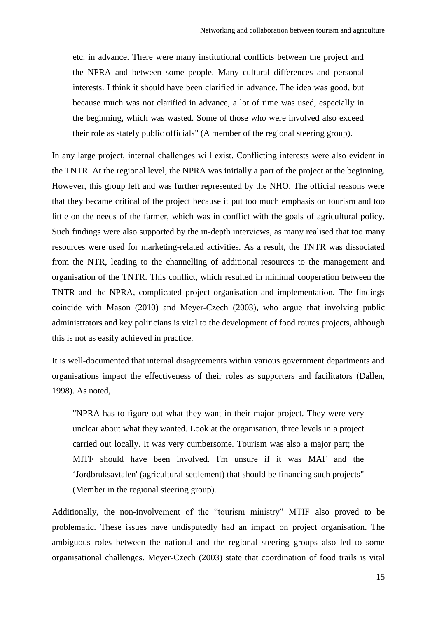etc. in advance. There were many institutional conflicts between the project and the NPRA and between some people. Many cultural differences and personal interests. I think it should have been clarified in advance. The idea was good, but because much was not clarified in advance, a lot of time was used, especially in the beginning, which was wasted. Some of those who were involved also exceed their role as stately public officials" (A member of the regional steering group).

In any large project, internal challenges will exist. Conflicting interests were also evident in the TNTR. At the regional level, the NPRA was initially a part of the project at the beginning. However, this group left and was further represented by the NHO. The official reasons were that they became critical of the project because it put too much emphasis on tourism and too little on the needs of the farmer, which was in conflict with the goals of agricultural policy. Such findings were also supported by the in-depth interviews, as many realised that too many resources were used for marketing-related activities. As a result, the TNTR was dissociated from the NTR, leading to the channelling of additional resources to the management and organisation of the TNTR. This conflict, which resulted in minimal cooperation between the TNTR and the NPRA, complicated project organisation and implementation. The findings coincide with Mason (2010) and Meyer-Czech (2003), who argue that involving public administrators and key politicians is vital to the development of food routes projects, although this is not as easily achieved in practice.

It is well-documented that internal disagreements within various government departments and organisations impact the effectiveness of their roles as supporters and facilitators (Dallen, 1998). As noted,

"NPRA has to figure out what they want in their major project. They were very unclear about what they wanted. Look at the organisation, three levels in a project carried out locally. It was very cumbersome. Tourism was also a major part; the MITF should have been involved. I'm unsure if it was MAF and the 'Jordbruksavtalen' (agricultural settlement) that should be financing such projects" (Member in the regional steering group).

Additionally, the non-involvement of the "tourism ministry" MTIF also proved to be problematic. These issues have undisputedly had an impact on project organisation. The ambiguous roles between the national and the regional steering groups also led to some organisational challenges. Meyer-Czech (2003) state that coordination of food trails is vital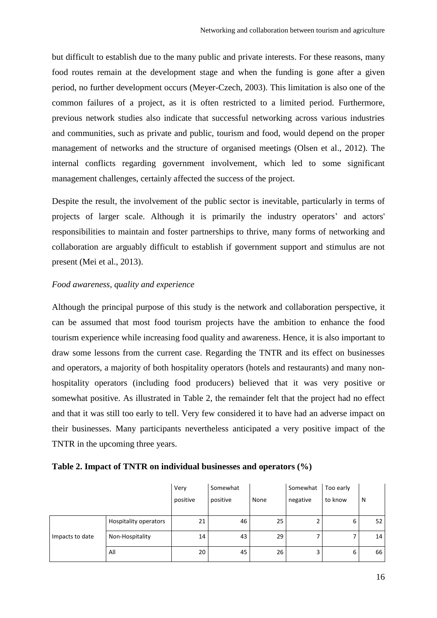but difficult to establish due to the many public and private interests. For these reasons, many food routes remain at the development stage and when the funding is gone after a given period, no further development occurs (Meyer-Czech, 2003). This limitation is also one of the common failures of a project, as it is often restricted to a limited period. Furthermore, previous network studies also indicate that successful networking across various industries and communities, such as private and public, tourism and food, would depend on the proper management of networks and the structure of organised meetings (Olsen et al., 2012). The internal conflicts regarding government involvement, which led to some significant management challenges, certainly affected the success of the project.

Despite the result, the involvement of the public sector is inevitable, particularly in terms of projects of larger scale. Although it is primarily the industry operators' and actors' responsibilities to maintain and foster partnerships to thrive, many forms of networking and collaboration are arguably difficult to establish if government support and stimulus are not present (Mei et al., 2013).

## *Food awareness, quality and experience*

Although the principal purpose of this study is the network and collaboration perspective, it can be assumed that most food tourism projects have the ambition to enhance the food tourism experience while increasing food quality and awareness. Hence, it is also important to draw some lessons from the current case. Regarding the TNTR and its effect on businesses and operators, a majority of both hospitality operators (hotels and restaurants) and many nonhospitality operators (including food producers) believed that it was very positive or somewhat positive. As illustrated in Table 2, the remainder felt that the project had no effect and that it was still too early to tell. Very few considered it to have had an adverse impact on their businesses. Many participants nevertheless anticipated a very positive impact of the TNTR in the upcoming three years.

| Table 2. Impact of TNTR on individual businesses and operators $(\% )$ |  |  |  |  |  |  |
|------------------------------------------------------------------------|--|--|--|--|--|--|
|------------------------------------------------------------------------|--|--|--|--|--|--|

|                 |                       | Very     | Somewhat |      | Somewhat | Too early |    |
|-----------------|-----------------------|----------|----------|------|----------|-----------|----|
|                 |                       | positive | positive | None | negative | to know   | N  |
|                 |                       |          |          |      |          |           |    |
| Impacts to date | Hospitality operators | 21       | 46       | 25   |          | 6         | 52 |
|                 | Non-Hospitality       | 14       | 43       | 29   |          |           | 14 |
|                 | All                   | 20       | 45       | 26   | 3        | 6         | 66 |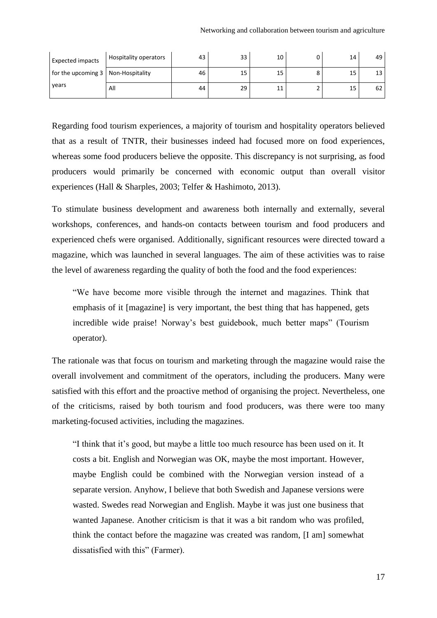| <b>Expected impacts</b>                   | Hospitality operators | 43 | 33 | 10 | 14 <sub>1</sub> | 49 |
|-------------------------------------------|-----------------------|----|----|----|-----------------|----|
| for the upcoming $3 \mid$ Non-Hospitality |                       | 46 | 15 | 15 | 15              | 13 |
| years                                     | All                   | 44 | 29 | 11 | 15              | 62 |

Regarding food tourism experiences, a majority of tourism and hospitality operators believed that as a result of TNTR, their businesses indeed had focused more on food experiences, whereas some food producers believe the opposite. This discrepancy is not surprising, as food producers would primarily be concerned with economic output than overall visitor experiences (Hall & Sharples, 2003; Telfer & Hashimoto, 2013).

To stimulate business development and awareness both internally and externally, several workshops, conferences, and hands-on contacts between tourism and food producers and experienced chefs were organised. Additionally, significant resources were directed toward a magazine, which was launched in several languages. The aim of these activities was to raise the level of awareness regarding the quality of both the food and the food experiences:

"We have become more visible through the internet and magazines. Think that emphasis of it [magazine] is very important, the best thing that has happened, gets incredible wide praise! Norway's best guidebook, much better maps" (Tourism operator).

The rationale was that focus on tourism and marketing through the magazine would raise the overall involvement and commitment of the operators, including the producers. Many were satisfied with this effort and the proactive method of organising the project. Nevertheless, one of the criticisms, raised by both tourism and food producers, was there were too many marketing-focused activities, including the magazines.

"I think that it's good, but maybe a little too much resource has been used on it. It costs a bit. English and Norwegian was OK, maybe the most important. However, maybe English could be combined with the Norwegian version instead of a separate version. Anyhow, I believe that both Swedish and Japanese versions were wasted. Swedes read Norwegian and English. Maybe it was just one business that wanted Japanese. Another criticism is that it was a bit random who was profiled, think the contact before the magazine was created was random, [I am] somewhat dissatisfied with this" (Farmer).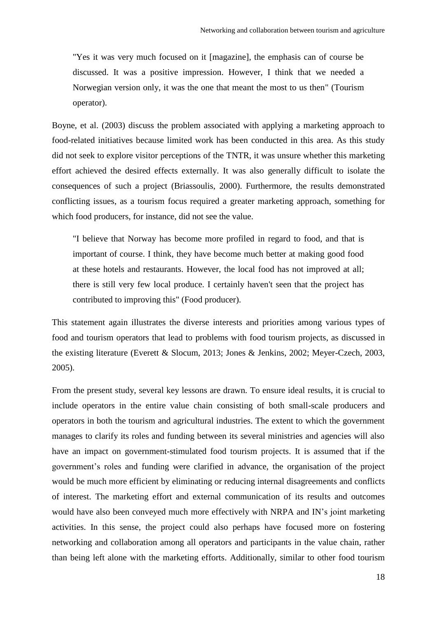"Yes it was very much focused on it [magazine], the emphasis can of course be discussed. It was a positive impression. However, I think that we needed a Norwegian version only, it was the one that meant the most to us then" (Tourism operator).

Boyne, et al. (2003) discuss the problem associated with applying a marketing approach to food-related initiatives because limited work has been conducted in this area. As this study did not seek to explore visitor perceptions of the TNTR, it was unsure whether this marketing effort achieved the desired effects externally. It was also generally difficult to isolate the consequences of such a project (Briassoulis, 2000). Furthermore, the results demonstrated conflicting issues, as a tourism focus required a greater marketing approach, something for which food producers, for instance, did not see the value.

"I believe that Norway has become more profiled in regard to food, and that is important of course. I think, they have become much better at making good food at these hotels and restaurants. However, the local food has not improved at all; there is still very few local produce. I certainly haven't seen that the project has contributed to improving this" (Food producer).

This statement again illustrates the diverse interests and priorities among various types of food and tourism operators that lead to problems with food tourism projects, as discussed in the existing literature (Everett & Slocum, 2013; Jones & Jenkins, 2002; Meyer-Czech, 2003, 2005).

From the present study, several key lessons are drawn. To ensure ideal results, it is crucial to include operators in the entire value chain consisting of both small-scale producers and operators in both the tourism and agricultural industries. The extent to which the government manages to clarify its roles and funding between its several ministries and agencies will also have an impact on government-stimulated food tourism projects. It is assumed that if the government's roles and funding were clarified in advance, the organisation of the project would be much more efficient by eliminating or reducing internal disagreements and conflicts of interest. The marketing effort and external communication of its results and outcomes would have also been conveyed much more effectively with NRPA and IN's joint marketing activities. In this sense, the project could also perhaps have focused more on fostering networking and collaboration among all operators and participants in the value chain, rather than being left alone with the marketing efforts. Additionally, similar to other food tourism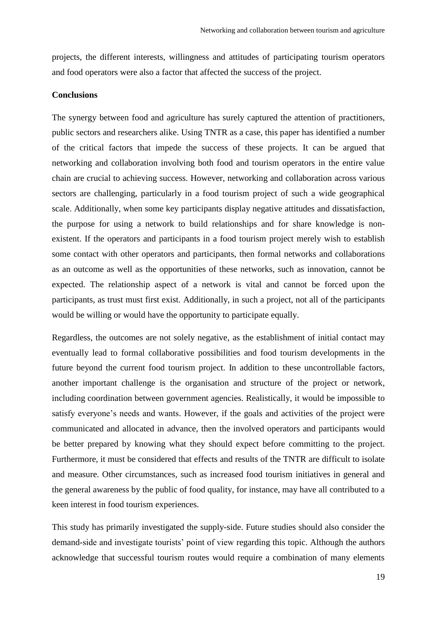projects, the different interests, willingness and attitudes of participating tourism operators and food operators were also a factor that affected the success of the project.

## **Conclusions**

The synergy between food and agriculture has surely captured the attention of practitioners, public sectors and researchers alike. Using TNTR as a case, this paper has identified a number of the critical factors that impede the success of these projects. It can be argued that networking and collaboration involving both food and tourism operators in the entire value chain are crucial to achieving success. However, networking and collaboration across various sectors are challenging, particularly in a food tourism project of such a wide geographical scale. Additionally, when some key participants display negative attitudes and dissatisfaction, the purpose for using a network to build relationships and for share knowledge is nonexistent. If the operators and participants in a food tourism project merely wish to establish some contact with other operators and participants, then formal networks and collaborations as an outcome as well as the opportunities of these networks, such as innovation, cannot be expected. The relationship aspect of a network is vital and cannot be forced upon the participants, as trust must first exist. Additionally, in such a project, not all of the participants would be willing or would have the opportunity to participate equally.

Regardless, the outcomes are not solely negative, as the establishment of initial contact may eventually lead to formal collaborative possibilities and food tourism developments in the future beyond the current food tourism project. In addition to these uncontrollable factors, another important challenge is the organisation and structure of the project or network, including coordination between government agencies. Realistically, it would be impossible to satisfy everyone's needs and wants. However, if the goals and activities of the project were communicated and allocated in advance, then the involved operators and participants would be better prepared by knowing what they should expect before committing to the project. Furthermore, it must be considered that effects and results of the TNTR are difficult to isolate and measure. Other circumstances, such as increased food tourism initiatives in general and the general awareness by the public of food quality, for instance, may have all contributed to a keen interest in food tourism experiences.

This study has primarily investigated the supply-side. Future studies should also consider the demand-side and investigate tourists' point of view regarding this topic. Although the authors acknowledge that successful tourism routes would require a combination of many elements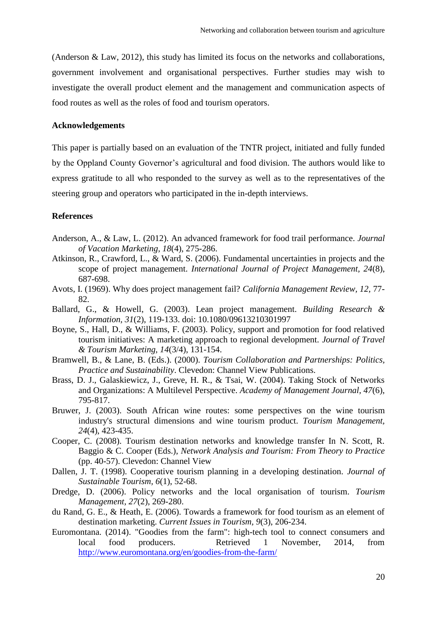(Anderson & Law, 2012), this study has limited its focus on the networks and collaborations, government involvement and organisational perspectives. Further studies may wish to investigate the overall product element and the management and communication aspects of food routes as well as the roles of food and tourism operators.

#### **Acknowledgements**

This paper is partially based on an evaluation of the TNTR project, initiated and fully funded by the Oppland County Governor's agricultural and food division. The authors would like to express gratitude to all who responded to the survey as well as to the representatives of the steering group and operators who participated in the in-depth interviews.

## **References**

- Anderson, A., & Law, L. (2012). An advanced framework for food trail performance. *Journal of Vacation Marketing, 18*(4), 275-286.
- Atkinson, R., Crawford, L., & Ward, S. (2006). Fundamental uncertainties in projects and the scope of project management. *International Journal of Project Management, 24*(8), 687-698.
- Avots, I. (1969). Why does project management fail? *California Management Review, 12*, 77- 82.
- Ballard, G., & Howell, G. (2003). Lean project management. *Building Research & Information, 31*(2), 119-133. doi: 10.1080/09613210301997
- Boyne, S., Hall, D., & Williams, F. (2003). Policy, support and promotion for food relatived tourism initiatives: A marketing approach to regional development. *Journal of Travel & Tourism Marketing, 14*(3/4), 131-154.
- Bramwell, B., & Lane, B. (Eds.). (2000). *Tourism Collaboration and Partnerships: Politics, Practice and Sustainability*. Clevedon: Channel View Publications.
- Brass, D. J., Galaskiewicz, J., Greve, H. R., & Tsai, W. (2004). Taking Stock of Networks and Organizations: A Multilevel Perspective. *Academy of Management Journal, 47*(6), 795-817.
- Bruwer, J. (2003). South African wine routes: some perspectives on the wine tourism industry's structural dimensions and wine tourism product. *Tourism Management, 24*(4), 423-435.
- Cooper, C. (2008). Tourism destination networks and knowledge transfer In N. Scott, R. Baggio & C. Cooper (Eds.), *Network Analysis and Tourism: From Theory to Practice* (pp. 40-57). Clevedon: Channel View
- Dallen, J. T. (1998). Cooperative tourism planning in a developing destination. *Journal of Sustainable Tourism, 6*(1), 52-68.
- Dredge, D. (2006). Policy networks and the local organisation of tourism. *Tourism Management, 27*(2), 269-280.
- du Rand, G. E., & Heath, E. (2006). Towards a framework for food tourism as an element of destination marketing. *Current Issues in Tourism, 9*(3), 206-234.
- Euromontana. (2014). "Goodies from the farm": high-tech tool to connect consumers and local food producers. Retrieved 1 November, 2014, from <http://www.euromontana.org/en/goodies-from-the-farm/>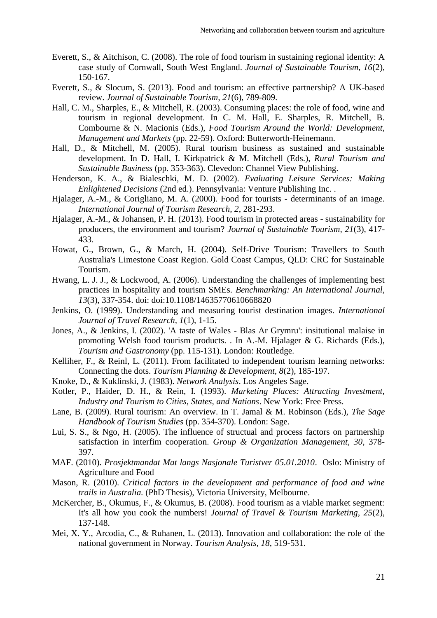- Everett, S., & Aitchison, C. (2008). The role of food tourism in sustaining regional identity: A case study of Cornwall, South West England. *Journal of Sustainable Tourism, 16*(2), 150-167.
- Everett, S., & Slocum, S. (2013). Food and tourism: an effective partnership? A UK-based review. *Journal of Sustainable Tourism, 21*(6), 789-809.
- Hall, C. M., Sharples, E., & Mitchell, R. (2003). Consuming places: the role of food, wine and tourism in regional development. In C. M. Hall, E. Sharples, R. Mitchell, B. Combourne & N. Macionis (Eds.), *Food Tourism Around the World: Development, Management and Markets* (pp. 22-59). Oxford: Butterworth-Heinemann.
- Hall, D., & Mitchell, M. (2005). Rural tourism business as sustained and sustainable development. In D. Hall, I. Kirkpatrick & M. Mitchell (Eds.), *Rural Tourism and Sustainable Business* (pp. 353-363). Clevedon: Channel View Publishing.
- Henderson, K. A., & Bialeschki, M. D. (2002). *Evaluating Leisure Services: Making Enlightened Decisions* (2nd ed.). Pennsylvania: Venture Publishing Inc. .
- Hjalager, A.-M., & Corigliano, M. A. (2000). Food for tourists determinants of an image. *International Journal of Tourism Research, 2*, 281-293.
- Hjalager, A.-M., & Johansen, P. H. (2013). Food tourism in protected areas sustainability for producers, the environment and tourism? *Journal of Sustainable Tourism, 21*(3), 417- 433.
- Howat, G., Brown, G., & March, H. (2004). Self-Drive Tourism: Travellers to South Australia's Limestone Coast Region. Gold Coast Campus, QLD: CRC for Sustainable Tourism.
- Hwang, L. J. J., & Lockwood, A. (2006). Understanding the challenges of implementing best practices in hospitality and tourism SMEs. *Benchmarking: An International Journal, 13*(3), 337-354. doi: doi:10.1108/14635770610668820
- Jenkins, O. (1999). Understanding and measuring tourist destination images. *International Journal of Travel Research, 1*(1), 1-15.
- Jones, A., & Jenkins, I. (2002). 'A taste of Wales Blas Ar Grymru': insitutional malaise in promoting Welsh food tourism products. . In A.-M. Hjalager & G. Richards (Eds.), *Tourism and Gastronomy* (pp. 115-131). London: Routledge.
- Kelliher, F., & Reinl, L. (2011). From facilitated to independent tourism learning networks: Connecting the dots. *Tourism Planning & Development, 8*(2), 185-197.
- Knoke, D., & Kuklinski, J. (1983). *Network Analysis*. Los Angeles Sage.
- Kotler, P., Haider, D. H., & Rein, I. (1993). *Marketing Places: Attracting Investment, Industry and Tourism to Cities, States, and Nations*. New York: Free Press.
- Lane, B. (2009). Rural tourism: An overview. In T. Jamal & M. Robinson (Eds.), *The Sage Handbook of Tourism Studies* (pp. 354-370). London: Sage.
- Lui, S. S., & Ngo, H. (2005). The influence of structual and process factors on partnership satisfaction in interfim cooperation. *Group & Organization Management, 30*, 378- 397.
- MAF. (2010). *Prosjektmandat Mat langs Nasjonale Turistver 05.01.2010*. Oslo: Ministry of Agriculture and Food
- Mason, R. (2010). *Critical factors in the development and performance of food and wine trails in Australia.* (PhD Thesis), Victoria University, Melbourne.
- McKercher, B., Okumus, F., & Okumus, B. (2008). Food tourism as a viable market segment: It's all how you cook the numbers! *Journal of Travel & Tourism Marketing, 25*(2), 137-148.
- Mei, X. Y., Arcodia, C., & Ruhanen, L. (2013). Innovation and collaboration: the role of the national government in Norway. *Tourism Analysis, 18*, 519-531.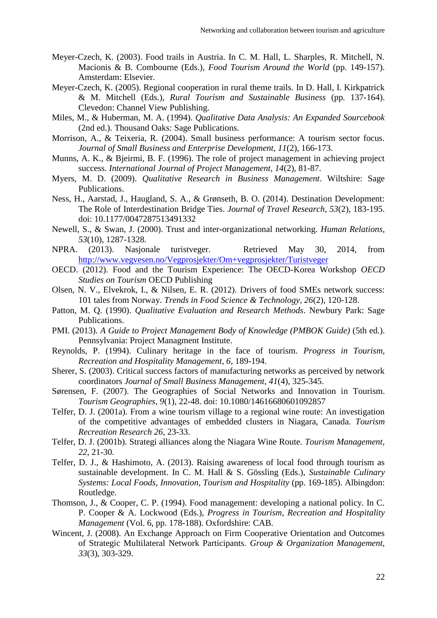- Meyer-Czech, K. (2003). Food trails in Austria. In C. M. Hall, L. Sharples, R. Mitchell, N. Macionis & B. Combourne (Eds.), *Food Tourism Around the World* (pp. 149-157). Amsterdam: Elsevier.
- Meyer-Czech, K. (2005). Regional cooperation in rural theme trails. In D. Hall, I. Kirkpatrick & M. Mitchell (Eds.), *Rural Tourism and Sustainable Business* (pp. 137-164). Clevedon: Channel View Publishing.
- Miles, M., & Huberman, M. A. (1994). *Qualitative Data Analysis: An Expanded Sourcebook*  (2nd ed.). Thousand Oaks: Sage Publications.
- Morrison, A., & Teixeria, R. (2004). Small business performance: A tourism sector focus. *Journal of Small Business and Enterprise Development, 11*(2), 166-173.
- Munns, A. K., & Bjeirmi, B. F. (1996). The role of project management in achieving project success. *International Journal of Project Management, 14*(2), 81-87.
- Myers, M. D. (2009). *Qualitative Research in Business Management*. Wiltshire: Sage Publications.
- Ness, H., Aarstad, J., Haugland, S. A., & Grønseth, B. O. (2014). Destination Development: The Role of Interdestination Bridge Ties. *Journal of Travel Research, 53*(2), 183-195. doi: 10.1177/0047287513491332
- Newell, S., & Swan, J. (2000). Trust and inter-organizational networking. *Human Relations, 53*(10), 1287-1328.
- NPRA. (2013). Nasjonale turistveger. Retrieved May 30, 2014, from <http://www.vegvesen.no/Vegprosjekter/Om+vegprosjekter/Turistveger>
- OECD. (2012). Food and the Tourism Experience: The OECD-Korea Workshop *OECD Studies on Tourism* OECD Publishing
- Olsen, N. V., Elvekrok, I., & Nilsen, E. R. (2012). Drivers of food SMEs network success: 101 tales from Norway. *Trends in Food Science & Technology, 26*(2), 120-128.
- Patton, M. Q. (1990). *Qualitative Evaluation and Research Methods*. Newbury Park: Sage Publications.
- PMI. (2013). *A Guide to Project Management Body of Knowledge (PMBOK Guide)* (5th ed.). Pennsylvania: Project Managment Institute.
- Reynolds, P. (1994). Culinary heritage in the face of tourism. *Progress in Tourism, Recreation and Hospitality Management, 6*, 189-194.
- Sherer, S. (2003). Critical success factors of manufacturing networks as perceived by network coordinators *Journal of Small Business Management, 41*(4), 325-345.
- Sørensen, F. (2007). The Geographies of Social Networks and Innovation in Tourism. *Tourism Geographies, 9*(1), 22-48. doi: 10.1080/14616680601092857
- Telfer, D. J. (2001a). From a wine tourism village to a regional wine route: An investigation of the competitive advantages of embedded clusters in Niagara, Canada. *Tourism Recreation Research 26*, 23-33.
- Telfer, D. J. (2001b). Strategi alliances along the Niagara Wine Route. *Tourism Management, 22*, 21-30.
- Telfer, D. J., & Hashimoto, A. (2013). Raising awareness of local food through tourism as sustainable development. In C. M. Hall & S. Gössling (Eds.), *Sustainable Culinary Systems: Local Foods, Innovation, Tourism and Hospitality* (pp. 169-185). Albingdon: Routledge.
- Thomson, J., & Cooper, C. P. (1994). Food management: developing a national policy. In C. P. Cooper & A. Lockwood (Eds.), *Progress in Tourism, Recreation and Hospitality Management* (Vol. 6, pp. 178-188). Oxfordshire: CAB.
- Wincent, J. (2008). An Exchange Approach on Firm Cooperative Orientation and Outcomes of Strategic Multilateral Network Participants. *Group & Organization Management, 33*(3), 303-329.